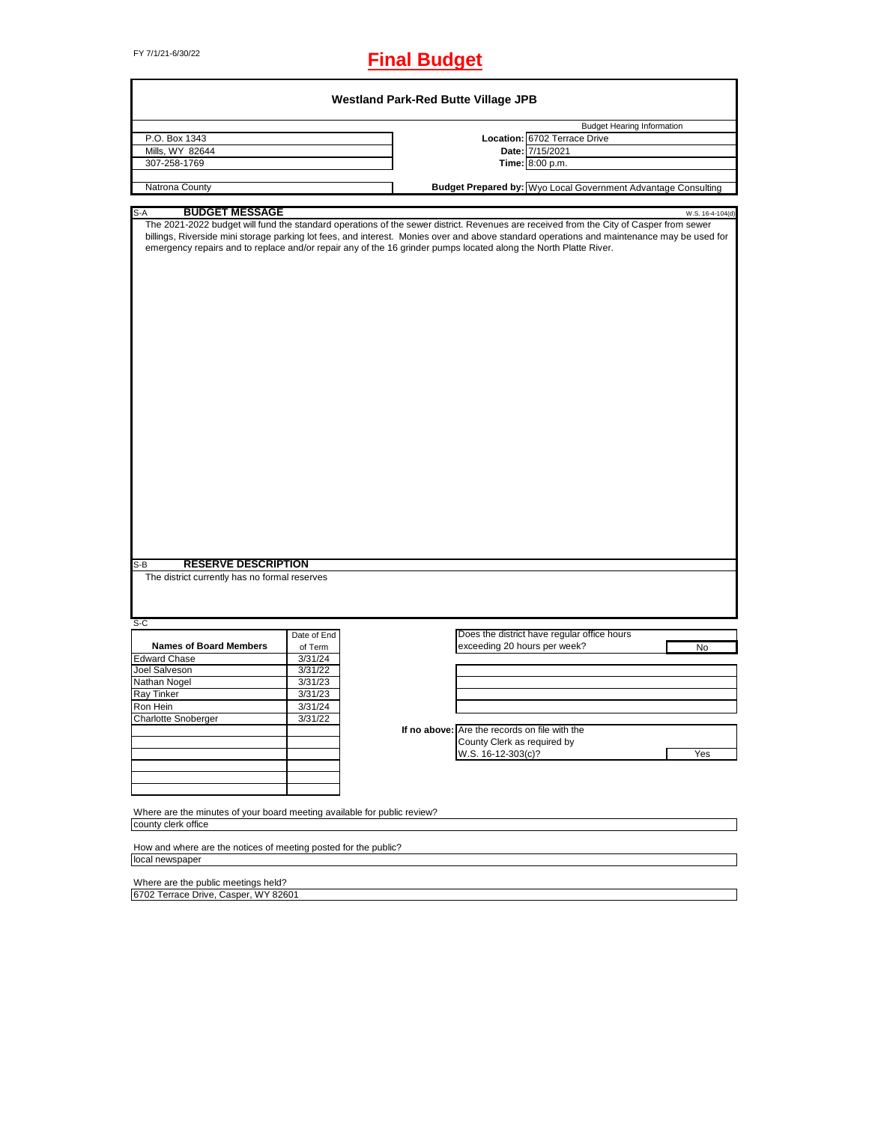# FY 7/1/21-6/30/22 **Final Budget**

|                                                                                                                                                                                                                                                                                                                                                                                                          |             | <b>Westland Park-Red Butte Village JPB</b> |                                               |                                                                      |                  |
|----------------------------------------------------------------------------------------------------------------------------------------------------------------------------------------------------------------------------------------------------------------------------------------------------------------------------------------------------------------------------------------------------------|-------------|--------------------------------------------|-----------------------------------------------|----------------------------------------------------------------------|------------------|
|                                                                                                                                                                                                                                                                                                                                                                                                          |             |                                            |                                               | <b>Budget Hearing Information</b>                                    |                  |
| P.O. Box 1343                                                                                                                                                                                                                                                                                                                                                                                            |             |                                            |                                               | Location: 6702 Terrace Drive                                         |                  |
| Mills, WY 82644                                                                                                                                                                                                                                                                                                                                                                                          |             |                                            |                                               | Date: 7/15/2021                                                      |                  |
| 307-258-1769                                                                                                                                                                                                                                                                                                                                                                                             |             |                                            |                                               | Time: 8:00 p.m.                                                      |                  |
|                                                                                                                                                                                                                                                                                                                                                                                                          |             |                                            |                                               |                                                                      |                  |
| Natrona County                                                                                                                                                                                                                                                                                                                                                                                           |             |                                            |                                               | <b>Budget Prepared by:</b> Wyo Local Government Advantage Consulting |                  |
| <b>BUDGET MESSAGE</b><br>$S-A$                                                                                                                                                                                                                                                                                                                                                                           |             |                                            |                                               |                                                                      | W.S. 16-4-104(d) |
| The 2021-2022 budget will fund the standard operations of the sewer district. Revenues are received from the City of Casper from sewer<br>billings, Riverside mini storage parking lot fees, and interest. Monies over and above standard operations and maintenance may be used for<br>emergency repairs and to replace and/or repair any of the 16 grinder pumps located along the North Platte River. |             |                                            |                                               |                                                                      |                  |
| <b>RESERVE DESCRIPTION</b><br>$S-B$<br>The district currently has no formal reserves                                                                                                                                                                                                                                                                                                                     |             |                                            |                                               |                                                                      |                  |
|                                                                                                                                                                                                                                                                                                                                                                                                          |             |                                            |                                               |                                                                      |                  |
| S-C                                                                                                                                                                                                                                                                                                                                                                                                      |             |                                            |                                               |                                                                      |                  |
|                                                                                                                                                                                                                                                                                                                                                                                                          | Date of End |                                            |                                               | Does the district have regular office hours                          |                  |
| <b>Names of Board Members</b>                                                                                                                                                                                                                                                                                                                                                                            | of Term     |                                            | exceeding 20 hours per week?                  |                                                                      | No               |
| <b>Edward Chase</b>                                                                                                                                                                                                                                                                                                                                                                                      | 3/31/24     |                                            |                                               |                                                                      |                  |
| Joel Salveson                                                                                                                                                                                                                                                                                                                                                                                            | 3/31/22     |                                            |                                               |                                                                      |                  |
| Nathan Nogel                                                                                                                                                                                                                                                                                                                                                                                             | 3/31/23     |                                            |                                               |                                                                      |                  |
| Ray Tinker                                                                                                                                                                                                                                                                                                                                                                                               | 3/31/23     |                                            |                                               |                                                                      |                  |
| Ron Hein                                                                                                                                                                                                                                                                                                                                                                                                 | 3/31/24     |                                            |                                               |                                                                      |                  |
|                                                                                                                                                                                                                                                                                                                                                                                                          |             |                                            |                                               |                                                                      |                  |
| Charlotte Snoberger                                                                                                                                                                                                                                                                                                                                                                                      | 3/31/22     |                                            |                                               |                                                                      |                  |
|                                                                                                                                                                                                                                                                                                                                                                                                          |             |                                            | If no above: Are the records on file with the |                                                                      |                  |
|                                                                                                                                                                                                                                                                                                                                                                                                          |             |                                            | County Clerk as required by                   |                                                                      |                  |
|                                                                                                                                                                                                                                                                                                                                                                                                          |             |                                            | W.S. 16-12-303(c)?                            |                                                                      | Yes              |
|                                                                                                                                                                                                                                                                                                                                                                                                          |             |                                            |                                               |                                                                      |                  |
|                                                                                                                                                                                                                                                                                                                                                                                                          |             |                                            |                                               |                                                                      |                  |
| Where are the minutes of your board meeting available for public review?                                                                                                                                                                                                                                                                                                                                 |             |                                            |                                               |                                                                      |                  |
| county clerk office                                                                                                                                                                                                                                                                                                                                                                                      |             |                                            |                                               |                                                                      |                  |
| How and where are the notices of meeting posted for the public?                                                                                                                                                                                                                                                                                                                                          |             |                                            |                                               |                                                                      |                  |
| local newspaper                                                                                                                                                                                                                                                                                                                                                                                          |             |                                            |                                               |                                                                      |                  |
| Where are the public meetings held?                                                                                                                                                                                                                                                                                                                                                                      |             |                                            |                                               |                                                                      |                  |
| 6702 Terrace Drive, Casper, WY 82601                                                                                                                                                                                                                                                                                                                                                                     |             |                                            |                                               |                                                                      |                  |
|                                                                                                                                                                                                                                                                                                                                                                                                          |             |                                            |                                               |                                                                      |                  |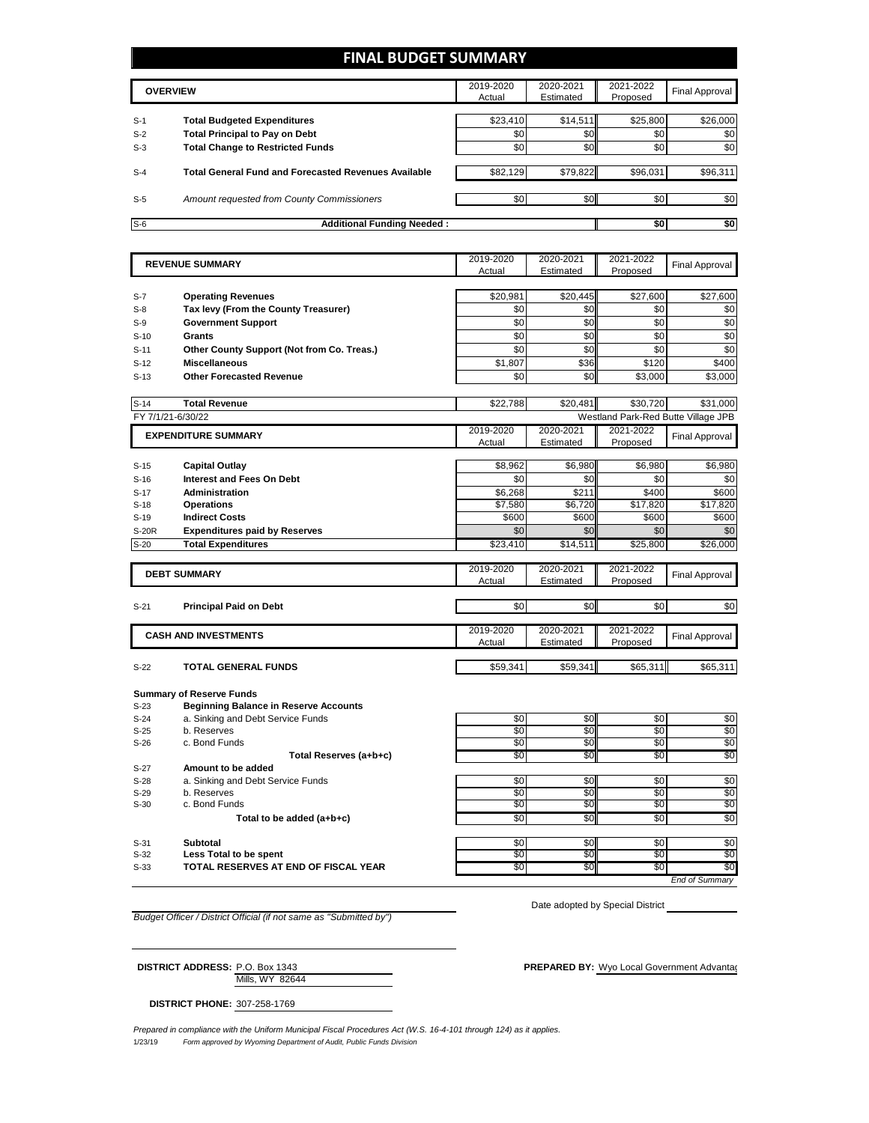### **FINAL BUDGET SUMMARY**

| <b>OVERVIEW</b> |                                                             | 2019-2020<br>Actual | 2020-2021<br>Estimated | 2021-2022<br>Proposed | Final Approval |
|-----------------|-------------------------------------------------------------|---------------------|------------------------|-----------------------|----------------|
| $S-1$           | <b>Total Budgeted Expenditures</b>                          | \$23,410            | \$14.511               | \$25,800              | \$26,000       |
| $S-2$           | <b>Total Principal to Pay on Debt</b>                       | \$0                 | \$0                    | \$0                   | \$0            |
| $S-3$           | <b>Total Change to Restricted Funds</b>                     | \$0                 | \$0                    | \$0                   | \$0            |
| $S-4$           | <b>Total General Fund and Forecasted Revenues Available</b> | \$82,129            | \$79,822               | \$96,031              | \$96,311       |
| $S-5$           | Amount requested from County Commissioners                  | \$0 <sub>1</sub>    | \$0                    | \$0                   | \$0            |
| $S-6$           | <b>Additional Funding Needed:</b>                           |                     |                        | \$0                   | \$0            |

|              | <b>REVENUE SUMMARY</b>                       | 2019-2020<br>Actual | 2020-2021<br>Estimated | 2021-2022<br>Proposed | <b>Final Approval</b>               |
|--------------|----------------------------------------------|---------------------|------------------------|-----------------------|-------------------------------------|
|              |                                              |                     |                        |                       |                                     |
| $S-7$        | <b>Operating Revenues</b>                    | \$20,981            | \$20,445               | \$27,600              | \$27,600                            |
| $S-8$        | Tax levy (From the County Treasurer)         | \$0                 | \$0                    | \$0                   | \$0                                 |
| $S-9$        | <b>Government Support</b>                    | \$0                 | \$0                    | \$0                   | \$0                                 |
| $S-10$       | Grants                                       | \$0                 | \$0                    | \$0                   | \$0                                 |
| $S-11$       | Other County Support (Not from Co. Treas.)   | \$0                 | \$0                    | \$0                   | \$0                                 |
| $S-12$       | <b>Miscellaneous</b>                         | \$1,807             | \$36                   | \$120                 | \$400                               |
| $S-13$       | <b>Other Forecasted Revenue</b>              | \$0                 | \$0                    | \$3.000               | \$3,000                             |
|              |                                              |                     |                        |                       |                                     |
| $S-14$       | <b>Total Revenue</b>                         | \$22.788            | \$20.481               | \$30.720              | \$31.000                            |
|              | FY 7/1/21-6/30/22                            |                     |                        |                       | Westland Park-Red Butte Village JPB |
|              | <b>EXPENDITURE SUMMARY</b>                   | 2019-2020           | 2020-2021              | 2021-2022             | <b>Final Approval</b>               |
|              |                                              | Actual              | Estimated              | Proposed              |                                     |
| $S-15$       | <b>Capital Outlay</b>                        | \$8.962             | \$6.980                | \$6.980               | \$6.980                             |
| $S-16$       | <b>Interest and Fees On Debt</b>             | \$0                 | \$0                    | \$0                   | \$0                                 |
| $S-17$       | <b>Administration</b>                        | \$6,268             | \$211                  | \$400                 | \$600                               |
| $S-18$       | <b>Operations</b>                            | \$7,580             | \$6,720                | \$17,820              | \$17,820                            |
| $S-19$       | <b>Indirect Costs</b>                        | \$600               | \$600                  | \$600                 | \$600                               |
| <b>S-20R</b> | <b>Expenditures paid by Reserves</b>         | \$0                 | \$0                    | \$0                   | \$0                                 |
| $S-20$       | <b>Total Expenditures</b>                    | \$23,410            | \$14,511               | \$25,800              | \$26,000                            |
|              |                                              |                     |                        |                       |                                     |
|              | <b>DEBT SUMMARY</b>                          | 2019-2020           | 2020-2021              | 2021-2022             | <b>Final Approval</b>               |
|              |                                              | Actual              | Estimated              | Proposed              |                                     |
| $S-21$       | <b>Principal Paid on Debt</b>                | \$0                 | \$0                    | \$0                   | \$0                                 |
|              |                                              |                     |                        |                       |                                     |
|              | <b>CASH AND INVESTMENTS</b>                  | 2019-2020           | 2020-2021              | 2021-2022             | <b>Final Approval</b>               |
|              |                                              | Actual              | Estimated              | Proposed              |                                     |
|              |                                              |                     |                        |                       |                                     |
| $S-22$       | <b>TOTAL GENERAL FUNDS</b>                   | \$59,341            | \$59,341               | \$65,311              | \$65,311                            |
|              | <b>Summary of Reserve Funds</b>              |                     |                        |                       |                                     |
| $S-23$       | <b>Beginning Balance in Reserve Accounts</b> |                     |                        |                       |                                     |
| $S-24$       | a. Sinking and Debt Service Funds            | \$0                 | \$0                    | \$0                   | \$0                                 |
| $S-25$       | b. Reserves                                  | \$0                 | \$0                    | \$0                   | \$0                                 |
| $S-26$       | c. Bond Funds                                | \$0                 | \$0                    | \$0                   | \$0                                 |
|              | Total Reserves (a+b+c)                       | \$0                 | \$0                    | \$0                   | \$0                                 |
| $S-27$       | Amount to be added                           |                     |                        |                       |                                     |
| $S-28$       | a. Sinking and Debt Service Funds            | \$0                 | \$0                    | \$0                   | \$0                                 |
| $S-29$       | b. Reserves                                  | \$0                 | \$0                    | \$0                   | \$0                                 |

 $S-30$  c. Bond Funds **the added (a+b+c)** c. Bond Funds **be added (a+b+c)**  $\frac{1}{30}$   $\frac{1}{30}$   $\frac{1}{30}$   $\frac{1}{30}$   $\frac{1}{30}$   $\frac{1}{30}$   $\frac{1}{30}$   $\frac{1}{30}$   $\frac{1}{30}$   $\frac{1}{30}$   $\frac{1}{30}$   $\frac{1}{30}$   $\frac{1}{30}$   $\frac{$ Total to be added (a+b+c)

S-31 **Subtotal** \$0 \$0 \$0 S-32 Less Total to be spent to the second second to the second to the second second second second second second S-33 **TOTAL RESERVES AT END OF FISCAL YEAR The SO \$0** \$0 \$0 \$0 \$0 \$0

*End of Summary*

*Budget Officer / District Official (if not same as "Submitted by")*

Date adopted by Special District

Mills, WY 82644 **DISTRICT ADDRESS:** P.O. Box 1343 **PREPARED BY:** Wyo Local Government Advantagent Advantage Consulting Consulting Consulting PREPARED BY: Wyo Local Government Advantagent

**DISTRICT PHONE:** 307-258-1769

1/23/19 *Form approved by Wyoming Department of Audit, Public Funds Division Prepared in compliance with the Uniform Municipal Fiscal Procedures Act (W.S. 16-4-101 through 124) as it applies.*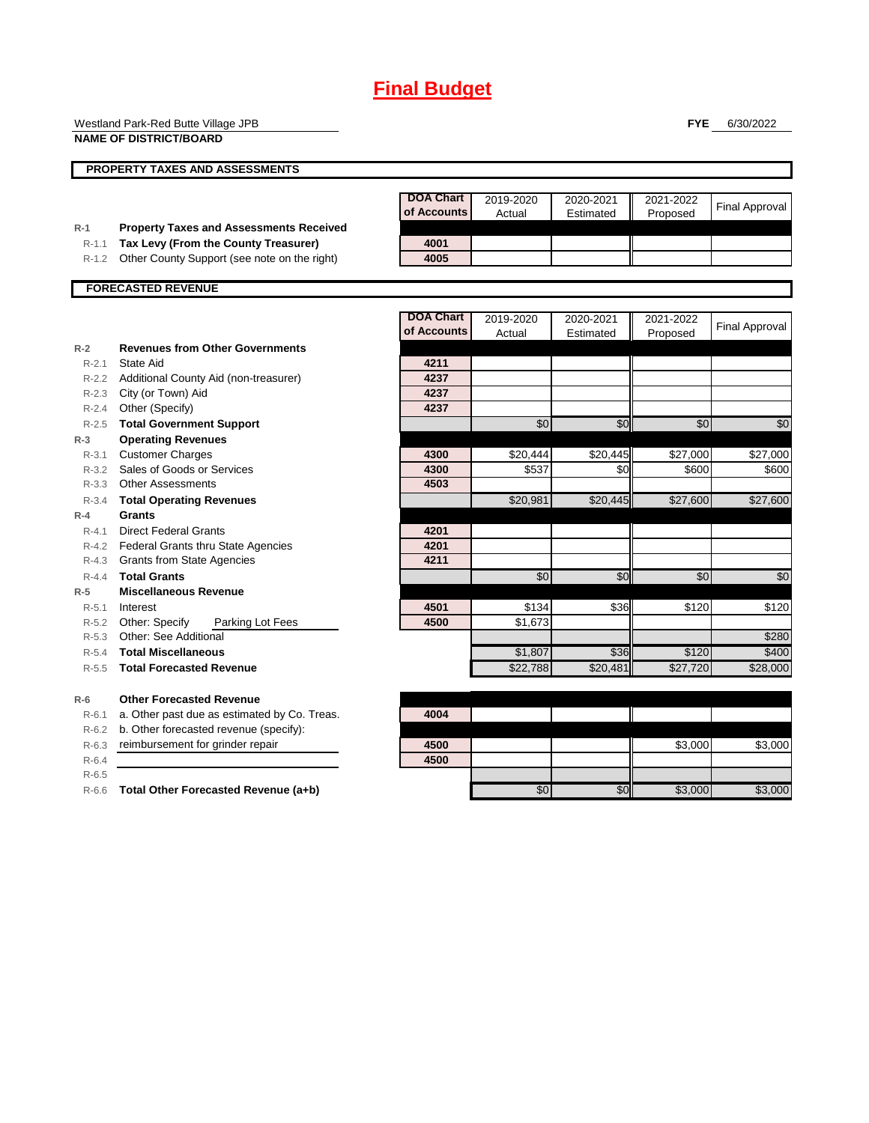# **Final Budget**

|           | Westland Park-Red Butte Village JPB                                      |                                 |                     |                        | <b>FYE</b>            | 6/30/2022             |
|-----------|--------------------------------------------------------------------------|---------------------------------|---------------------|------------------------|-----------------------|-----------------------|
|           | <b>NAME OF DISTRICT/BOARD</b>                                            |                                 |                     |                        |                       |                       |
|           | <b>PROPERTY TAXES AND ASSESSMENTS</b>                                    |                                 |                     |                        |                       |                       |
|           |                                                                          | <b>DOA Chart</b><br>of Accounts | 2019-2020<br>Actual | 2020-2021<br>Estimated | 2021-2022<br>Proposed | <b>Final Approval</b> |
| $R-1$     | <b>Property Taxes and Assessments Received</b>                           |                                 |                     |                        |                       |                       |
| $R-1.1$   | Tax Levy (From the County Treasurer)                                     | 4001                            |                     |                        |                       |                       |
| R-1.2     | Other County Support (see note on the right)                             | 4005                            |                     |                        |                       |                       |
|           | <b>FORECASTED REVENUE</b>                                                |                                 |                     |                        |                       |                       |
|           |                                                                          |                                 |                     |                        |                       |                       |
|           |                                                                          | <b>DOA Chart</b>                | 2019-2020           | 2020-2021              | 2021-2022             | <b>Final Approval</b> |
|           |                                                                          | of Accounts                     | Actual              | Estimated              | Proposed              |                       |
| $R-2$     | <b>Revenues from Other Governments</b>                                   |                                 |                     |                        |                       |                       |
| $R-2.1$   | State Aid                                                                | 4211                            |                     |                        |                       |                       |
| R-2.2     | Additional County Aid (non-treasurer)                                    | 4237<br>4237                    |                     |                        |                       |                       |
| R-2.3     | City (or Town) Aid                                                       | 4237                            |                     |                        |                       |                       |
| $R-2.4$   | Other (Specify)                                                          |                                 |                     |                        |                       |                       |
| $R - 2.5$ | <b>Total Government Support</b>                                          |                                 | \$0                 | \$0                    | \$0                   | \$0                   |
| $R-3$     | <b>Operating Revenues</b>                                                |                                 |                     |                        |                       |                       |
| R-3.1     | <b>Customer Charges</b>                                                  | 4300                            | \$20,444<br>\$537   | \$20,445               | \$27,000              | \$27,000              |
| $R - 3.2$ | Sales of Goods or Services                                               | 4300<br>4503                    |                     | \$0                    | \$600                 | \$600                 |
| R-3.3     | <b>Other Assessments</b>                                                 |                                 |                     |                        |                       |                       |
| $R - 3.4$ | <b>Total Operating Revenues</b><br><b>Grants</b>                         |                                 | \$20.981            | \$20.445               | \$27,600              | \$27,600              |
| $R-4$     |                                                                          |                                 |                     |                        |                       |                       |
| $R - 4.1$ | <b>Direct Federal Grants</b><br>R-4.2 Federal Grants thru State Agencies | 4201<br>4201                    |                     |                        |                       |                       |
| R-4.3     | <b>Grants from State Agencies</b>                                        | 4211                            |                     |                        |                       |                       |
| $R - 4.4$ | <b>Total Grants</b>                                                      |                                 | $\overline{50}$     | \$0                    | \$0                   | \$0                   |
| $R-5$     | <b>Miscellaneous Revenue</b>                                             |                                 |                     |                        |                       |                       |
| $R - 5.1$ | Interest                                                                 | 4501                            | \$134               | \$36                   | \$120                 | \$120                 |
| $R-5.2$   | Other: Specify<br>Parking Lot Fees                                       | 4500                            | \$1,673             |                        |                       |                       |
| $R-5.3$   | <b>Other: See Additional</b>                                             |                                 |                     |                        |                       | \$280                 |
| $R-5.4$   | <b>Total Miscellaneous</b>                                               |                                 | \$1,807             | \$36                   | \$120                 | \$400                 |
| $R-5.5$   | <b>Total Forecasted Revenue</b>                                          |                                 | \$22,788            | \$20,481               | \$27,720              | \$28,000              |
|           |                                                                          |                                 |                     |                        |                       |                       |
| $R-6$     | <b>Other Forecasted Revenue</b>                                          |                                 |                     |                        |                       |                       |
| R-6.1     | a. Other past due as estimated by Co. Treas.                             | 4004                            |                     |                        |                       |                       |
|           | R-6.2 b. Other forecasted revenue (specify):                             |                                 |                     |                        |                       |                       |
|           | <b>D.C.O.</b> roimburgement for grinder repoir                           | 4E <sub>0</sub>                 |                     |                        | co con                | no ooo                |

R-6.3 reimbursement for grinder repair **4500 \$3,000 \$3,000 \$3,000 \$3,000 \$3,000 \$3,000 \$3,000 \$3,000 \$3,000 \$3,000 \$3,000 \$3,000 \$3,000 \$3,000 \$3,000 \$3,000 \$4,000 \$3,000 \$4,000 \$4,000 \$4,000 \$4,000 \$4,000 \$4,000 \$4,000 \$4** R-6.4 **4500**

R-6.5

R-6.6 **Total Other Forecasted Revenue (a+b)** 

| 4004 |     |                 |         |         |
|------|-----|-----------------|---------|---------|
|      |     |                 |         |         |
| 4500 |     |                 | \$3,000 | \$3,000 |
| 4500 |     |                 |         |         |
|      |     |                 |         |         |
|      | \$0 | $\overline{50}$ | \$3,000 | \$3,000 |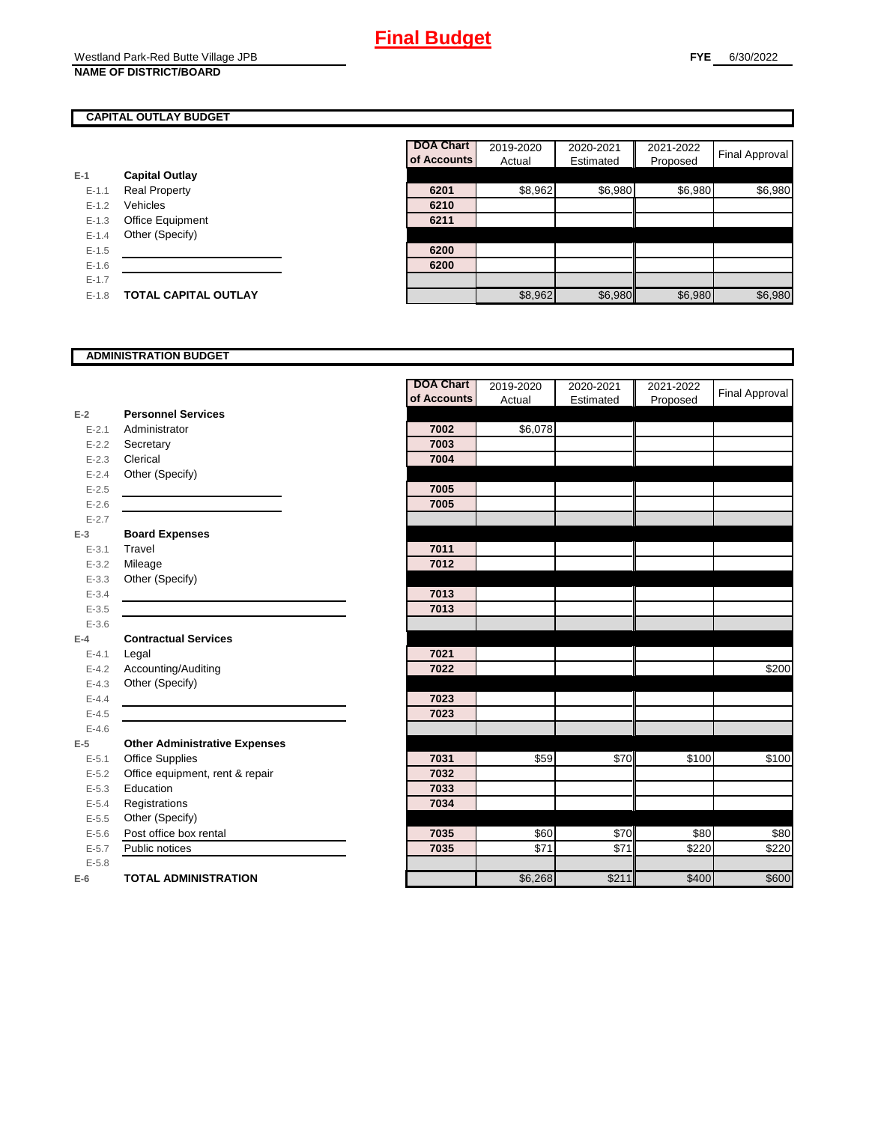### **CAPITAL OUTLAY BUDGET**

|           |                       | UI ACCUL |
|-----------|-----------------------|----------|
| E-1       | <b>Capital Outlay</b> |          |
| $E - 1.1$ | <b>Real Property</b>  | 6201     |
| $E - 1.2$ | Vehicles              | 6210     |
| $E-1.3$   | Office Equipment      | 6211     |
| $E - 1.4$ | Other (Specify)       |          |
| $E - 1.5$ |                       | 6200     |
| $E-1.6$   |                       | 6200     |
| $E - 1.7$ |                       |          |
| $E-1.8$   | TOTAL CAPITAL OUTLAY  |          |

|           |                             | <b>DOA Chart</b> | 2019-2020 | 2020-2021 | 2021-2022 |                |
|-----------|-----------------------------|------------------|-----------|-----------|-----------|----------------|
|           |                             | of Accounts      | Actual    | Estimated | Proposed  | Final Approval |
|           | <b>Capital Outlay</b>       |                  |           |           |           |                |
| $E - 1.1$ | <b>Real Property</b>        | 6201             | \$8,962   | \$6,980   | \$6,980   | \$6,980        |
| $E-1.2$   | Vehicles                    | 6210             |           |           |           |                |
| $E - 1.3$ | Office Equipment            | 6211             |           |           |           |                |
| $E-1.4$   | Other (Specify)             |                  |           |           |           |                |
| $E-1.5$   |                             | 6200             |           |           |           |                |
| $E - 1.6$ |                             | 6200             |           |           |           |                |
| $E - 1.7$ |                             |                  |           |           |           |                |
| $E-1.8$   | <b>TOTAL CAPITAL OUTLAY</b> |                  | \$8,962   | \$6,980   | \$6,980   | \$6,980        |

#### **ADMINISTRATION BUDGET**

|           |                                      | <b>DOA Chart</b> | 2019-2020 | 2020-2021 | 2021-2022 | Final Approval |
|-----------|--------------------------------------|------------------|-----------|-----------|-----------|----------------|
|           |                                      | of Accounts      | Actual    | Estimated | Proposed  |                |
| $E-2$     | <b>Personnel Services</b>            |                  |           |           |           |                |
| $E - 2.1$ | Administrator                        | 7002             | \$6,078   |           |           |                |
| $E - 2.2$ | Secretary                            | 7003             |           |           |           |                |
| $E - 2.3$ | Clerical                             | 7004             |           |           |           |                |
| $E - 2.4$ | Other (Specify)                      |                  |           |           |           |                |
| $E - 2.5$ |                                      | 7005             |           |           |           |                |
| $E-2.6$   |                                      | 7005             |           |           |           |                |
| $E - 2.7$ |                                      |                  |           |           |           |                |
| $E-3$     | <b>Board Expenses</b>                |                  |           |           |           |                |
| $E - 3.1$ | Travel                               | 7011             |           |           |           |                |
| $E - 3.2$ | Mileage                              | 7012             |           |           |           |                |
| $E - 3.3$ | Other (Specify)                      |                  |           |           |           |                |
| $E - 3.4$ |                                      | 7013             |           |           |           |                |
| $E - 3.5$ |                                      | 7013             |           |           |           |                |
| $E - 3.6$ |                                      |                  |           |           |           |                |
| $E-4$     | <b>Contractual Services</b>          |                  |           |           |           |                |
| $E - 4.1$ | Legal                                | 7021             |           |           |           |                |
| $E - 4.2$ | Accounting/Auditing                  | 7022             |           |           |           | \$200          |
| $E - 4.3$ | Other (Specify)                      |                  |           |           |           |                |
| $E-4.4$   |                                      | 7023             |           |           |           |                |
| $E-4.5$   |                                      | 7023             |           |           |           |                |
| $E-4.6$   |                                      |                  |           |           |           |                |
| $E-5$     | <b>Other Administrative Expenses</b> |                  |           |           |           |                |
| $E - 5.1$ | Office Supplies                      | 7031             | \$59      | \$70      | \$100     | \$100          |
| $E - 5.2$ | Office equipment, rent & repair      | 7032             |           |           |           |                |
| $E - 5.3$ | Education                            | 7033             |           |           |           |                |
| $E - 5.4$ | Registrations                        | 7034             |           |           |           |                |
| $E-5.5$   | Other (Specify)                      |                  |           |           |           |                |
| $E - 5.6$ | Post office box rental               | 7035             | \$60      | \$70      | \$80      | \$80           |
| $E - 5.7$ | Public notices                       | 7035             | \$71      | \$71      | \$220     | \$220          |
| $E - 5.8$ |                                      |                  |           |           |           |                |
| $E-6$     | <b>TOTAL ADMINISTRATION</b>          |                  | \$6,268   | \$211     | \$400     | \$600          |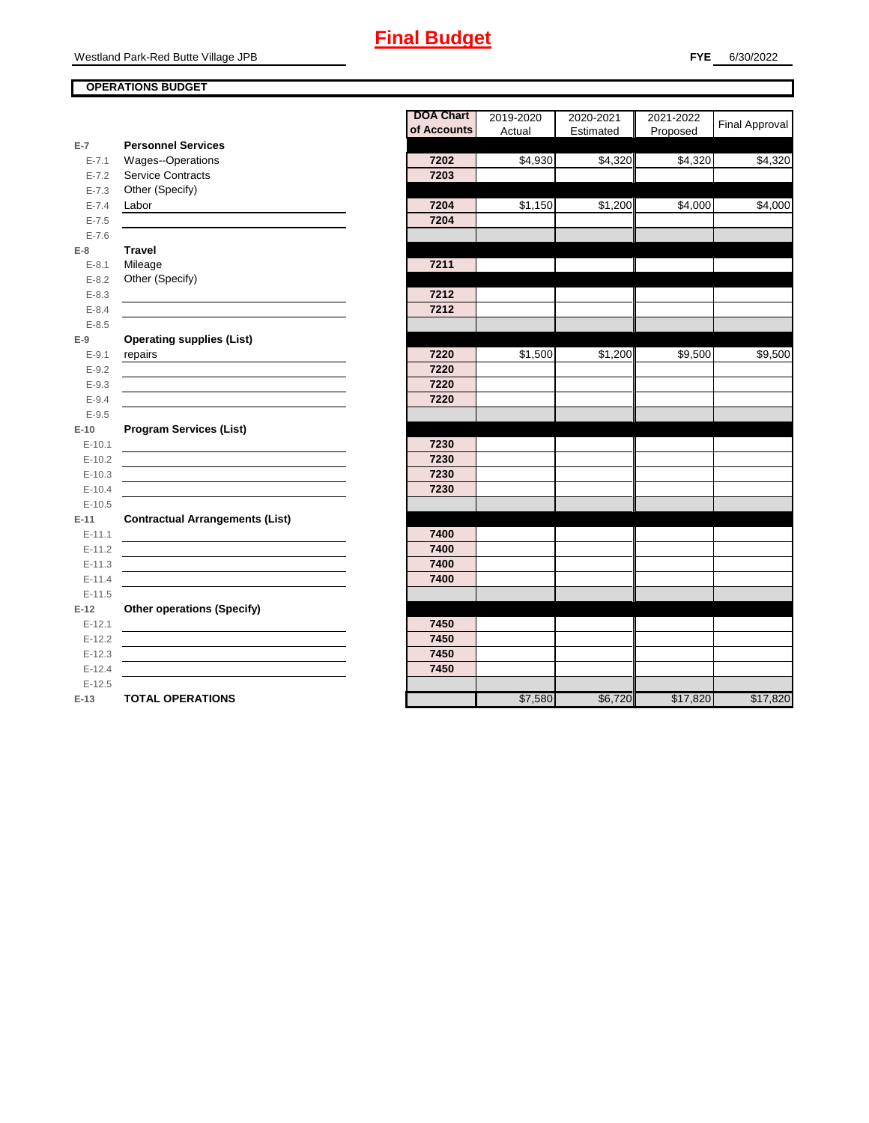## **Final Budget**

#### **OPERATIONS BUDGET**

|                        |                                        | <b>DOA Chart</b><br>of Accounts | 2019-2020 | 2020-2021 | 2021-2022 | Final Approval |
|------------------------|----------------------------------------|---------------------------------|-----------|-----------|-----------|----------------|
| $E-7$                  | <b>Personnel Services</b>              |                                 | Actual    | Estimated | Proposed  |                |
| $E - 7.1$              | Wages--Operations                      | 7202                            | \$4,930   | \$4,320   | \$4,320   | \$4,320        |
| $E - 7.2$              | <b>Service Contracts</b>               | 7203                            |           |           |           |                |
| $E - 7.3$              | Other (Specify)                        |                                 |           |           |           |                |
|                        |                                        | 7204                            | \$1,150   | \$1,200   | \$4,000   | \$4,000        |
| $E - 7.4$<br>$E - 7.5$ | Labor                                  | 7204                            |           |           |           |                |
|                        |                                        |                                 |           |           |           |                |
| $E - 7.6$              |                                        |                                 |           |           |           |                |
| $E-8$                  | <b>Travel</b>                          | 7211                            |           |           |           |                |
| $E - 8.1$<br>$E - 8.2$ | Mileage<br>Other (Specify)             |                                 |           |           |           |                |
| $E - 8.3$              |                                        | 7212                            |           |           |           |                |
| $E - 8.4$              |                                        | 7212                            |           |           |           |                |
| $E - 8.5$              |                                        |                                 |           |           |           |                |
|                        | <b>Operating supplies (List)</b>       |                                 |           |           |           |                |
| $E-9$<br>$E - 9.1$     | repairs                                | 7220                            | \$1,500   | \$1,200   | \$9,500   | \$9,500        |
|                        |                                        | 7220                            |           |           |           |                |
| $E - 9.2$              |                                        | 7220                            |           |           |           |                |
| $E-9.3$                |                                        |                                 |           |           |           |                |
| $E - 9.4$              |                                        | 7220                            |           |           |           |                |
| $E-9.5$                |                                        |                                 |           |           |           |                |
| $E-10$                 | <b>Program Services (List)</b>         |                                 |           |           |           |                |
| $E - 10.1$             |                                        | 7230<br>7230                    |           |           |           |                |
| $E-10.2$               |                                        | 7230                            |           |           |           |                |
| $E-10.3$               |                                        |                                 |           |           |           |                |
| $E-10.4$               |                                        | 7230                            |           |           |           |                |
| $E-10.5$               |                                        |                                 |           |           |           |                |
| $E-11$                 | <b>Contractual Arrangements (List)</b> |                                 |           |           |           |                |
| $E-11.1$               |                                        | 7400<br>7400                    |           |           |           |                |
| $E-11.2$               |                                        | 7400                            |           |           |           |                |
| $E - 11.3$             |                                        |                                 |           |           |           |                |
| $E-11.4$               |                                        | 7400                            |           |           |           |                |
| $E-11.5$               |                                        |                                 |           |           |           |                |
| $E-12$                 | <b>Other operations (Specify)</b>      |                                 |           |           |           |                |
| $E-12.1$               |                                        | 7450                            |           |           |           |                |
| $E-12.2$               |                                        | 7450                            |           |           |           |                |
| $E-12.3$               |                                        | 7450                            |           |           |           |                |
| $E-12.4$               |                                        | 7450                            |           |           |           |                |
| $E-12.5$               |                                        |                                 |           |           |           |                |
| $E-13$                 | <b>TOTAL OPERATIONS</b>                |                                 | \$7,580   | \$6,720   | \$17,820  | \$17,820       |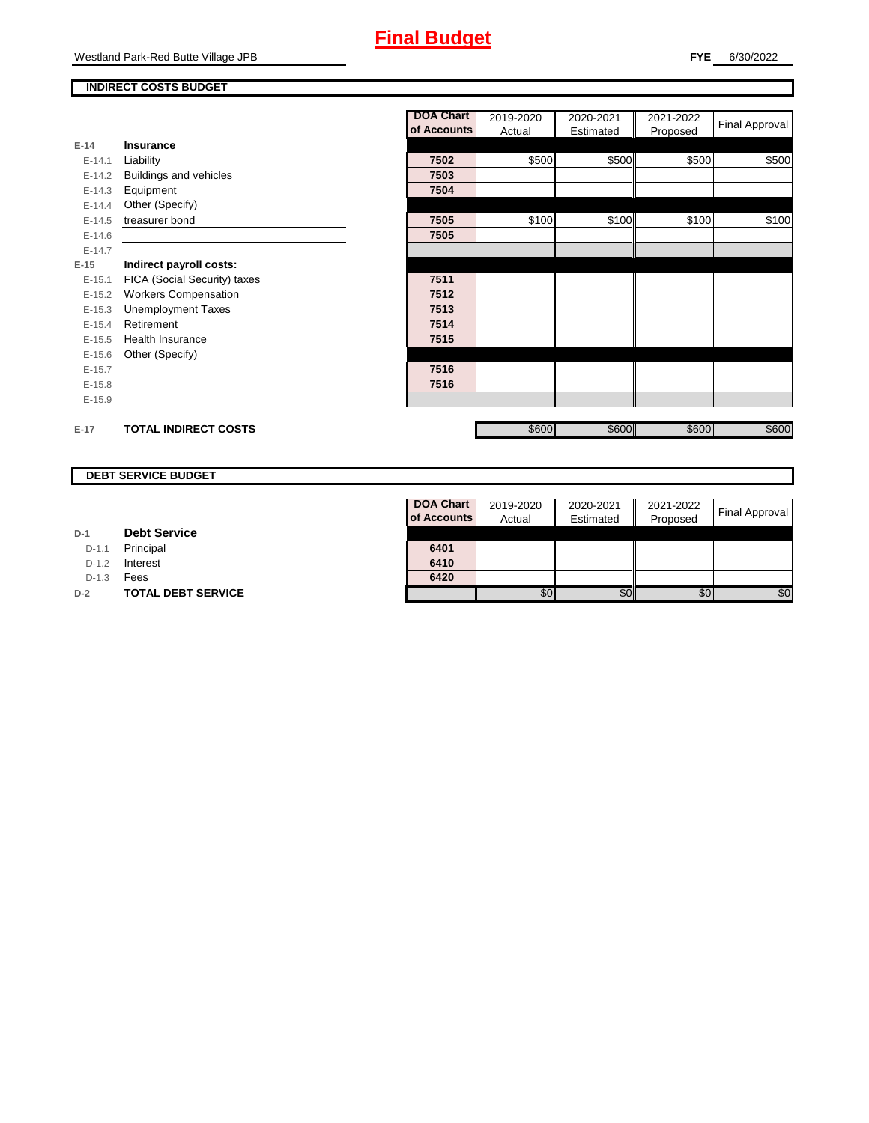#### **INDIRECT COSTS BUDGET**

|          |                              | <b>DOA Chart</b> | 2019-2020 | 2020-2021 | 2021-2022 | <b>Final Approval</b> |
|----------|------------------------------|------------------|-----------|-----------|-----------|-----------------------|
|          |                              | of Accounts      | Actual    | Estimated | Proposed  |                       |
| $E-14$   | Insurance                    |                  |           |           |           |                       |
| $E-14.1$ | Liability                    | 7502             | \$500     | \$500     | \$500     | \$500                 |
| $E-14.2$ | Buildings and vehicles       | 7503             |           |           |           |                       |
| $E-14.3$ | Equipment                    | 7504             |           |           |           |                       |
| $E-14.4$ | Other (Specify)              |                  |           |           |           |                       |
| $E-14.5$ | treasurer bond               | 7505             | \$100     | \$100     | \$100     | \$100                 |
| $E-14.6$ |                              | 7505             |           |           |           |                       |
| $E-14.7$ |                              |                  |           |           |           |                       |
| $E-15$   | Indirect payroll costs:      |                  |           |           |           |                       |
| $E-15.1$ | FICA (Social Security) taxes | 7511             |           |           |           |                       |
| $E-15.2$ | <b>Workers Compensation</b>  | 7512             |           |           |           |                       |
| $E-15.3$ | <b>Unemployment Taxes</b>    | 7513             |           |           |           |                       |
| $E-15.4$ | Retirement                   | 7514             |           |           |           |                       |
| $E-15.5$ | <b>Health Insurance</b>      | 7515             |           |           |           |                       |
| $E-15.6$ | Other (Specify)              |                  |           |           |           |                       |
| $E-15.7$ |                              | 7516             |           |           |           |                       |
| $E-15.8$ |                              | 7516             |           |           |           |                       |
| $E-15.9$ |                              |                  |           |           |           |                       |
|          |                              |                  |           |           |           |                       |
| $E-17$   | <b>TOTAL INDIRECT COSTS</b>  |                  | \$600     | \$600     | \$600     | \$600                 |

#### **DEBT SERVICE BUDGET**

| D-1 | <b>Debt Service</b> |  |
|-----|---------------------|--|
|     |                     |  |

D-1.1 Principal

D-1.2 **Interest** 

D-1.3 **Fees** 

**D-2 TOTAL DEBT SERVICE** 

| DOA Chart   | 2019-2020 | 2020-2021 | 2021-2022 |                |
|-------------|-----------|-----------|-----------|----------------|
| of Accounts | Actual    | Estimated | Proposed  | Final Approval |
|             |           |           |           |                |
| 6401        |           |           |           |                |
| 6410        |           |           |           |                |
| 6420        |           |           |           |                |
|             |           |           | 5Ο        |                |